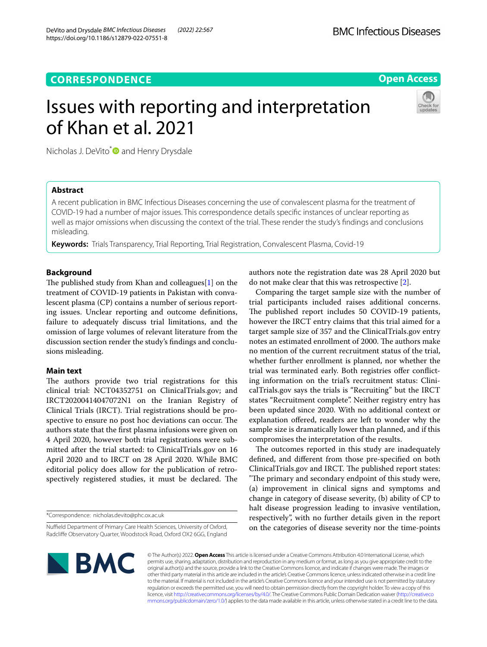# **CORRESPONDENCE**

# **Open Access**

# Issues with reporting and interpretation of Khan et al. 2021



Nicholas J. DeVito<sup>\*</sup> and Henry Drysdale

# **Abstract**

A recent publication in BMC Infectious Diseases concerning the use of convalescent plasma for the treatment of COVID-19 had a number of major issues. This correspondence details specifc instances of unclear reporting as well as major omissions when discussing the context of the trial. These render the study's fndings and conclusions misleading.

**Keywords:** Trials Transparency, Trial Reporting, Trial Registration, Convalescent Plasma, Covid-19

# **Background**

The published study from Khan and colleagues [\[1](#page-1-0)] on the treatment of COVID-19 patients in Pakistan with convalescent plasma (CP) contains a number of serious reporting issues. Unclear reporting and outcome defnitions, failure to adequately discuss trial limitations, and the omission of large volumes of relevant literature from the discussion section render the study's fndings and conclusions misleading.

# **Main text**

The authors provide two trial registrations for this clinical trial: NCT04352751 on ClinicalTrials.gov; and IRCT20200414047072N1 on the Iranian Registry of Clinical Trials (IRCT). Trial registrations should be prospective to ensure no post hoc deviations can occur. The authors state that the frst plasma infusions were given on 4 April 2020, however both trial registrations were submitted after the trial started: to ClinicalTrials.gov on 16 April 2020 and to IRCT on 28 April 2020. While BMC editorial policy does allow for the publication of retrospectively registered studies, it must be declared. The

\*Correspondence: nicholas.devito@phc.ox.ac.uk

authors note the registration date was 28 April 2020 but do not make clear that this was retrospective [[2](#page-1-1)].

Comparing the target sample size with the number of trial participants included raises additional concerns. The published report includes 50 COVID-19 patients, however the IRCT entry claims that this trial aimed for a target sample size of 357 and the ClinicalTrials.gov entry notes an estimated enrollment of 2000. The authors make no mention of the current recruitment status of the trial, whether further enrollment is planned, nor whether the trial was terminated early. Both registries offer conflicting information on the trial's recruitment status: ClinicalTrials.gov says the trials is "Recruiting" but the IRCT states "Recruitment complete". Neither registry entry has been updated since 2020. With no additional context or explanation ofered, readers are left to wonder why the sample size is dramatically lower than planned, and if this compromises the interpretation of the results.

The outcomes reported in this study are inadequately defned, and diferent from those pre-specifed on both ClinicalTrials.gov and IRCT. The published report states: "The primary and secondary endpoint of this study were, (a) improvement in clinical signs and symptoms and change in category of disease severity, (b) ability of CP to halt disease progression leading to invasive ventilation, respectively", with no further details given in the report on the categories of disease severity nor the time-points



© The Author(s) 2022. **Open Access** This article is licensed under a Creative Commons Attribution 4.0 International License, which permits use, sharing, adaptation, distribution and reproduction in any medium or format, as long as you give appropriate credit to the original author(s) and the source, provide a link to the Creative Commons licence, and indicate if changes were made. The images or other third party material in this article are included in the article's Creative Commons licence, unless indicated otherwise in a credit line to the material. If material is not included in the article's Creative Commons licence and your intended use is not permitted by statutory regulation or exceeds the permitted use, you will need to obtain permission directly from the copyright holder. To view a copy of this licence, visit [http://creativecommons.org/licenses/by/4.0/.](http://creativecommons.org/licenses/by/4.0/) The Creative Commons Public Domain Dedication waiver ([http://creativeco](http://creativecommons.org/publicdomain/zero/1.0/) [mmons.org/publicdomain/zero/1.0/](http://creativecommons.org/publicdomain/zero/1.0/)) applies to the data made available in this article, unless otherwise stated in a credit line to the data.

Nuffield Department of Primary Care Health Sciences, University of Oxford, Radclife Observatory Quarter, Woodstock Road, Oxford OX2 6GG, England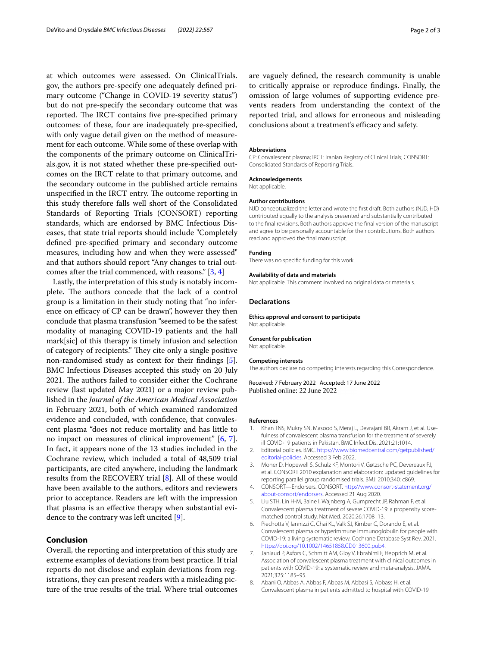at which outcomes were assessed. On ClinicalTrials. gov, the authors pre-specify one adequately defned primary outcome ("Change in COVID-19 severity status") but do not pre-specify the secondary outcome that was reported. The IRCT contains five pre-specified primary outcomes: of these, four are inadequately pre-specifed, with only vague detail given on the method of measurement for each outcome. While some of these overlap with the components of the primary outcome on ClinicalTrials.gov, it is not stated whether these pre-specifed outcomes on the IRCT relate to that primary outcome, and the secondary outcome in the published article remains unspecified in the IRCT entry. The outcome reporting in this study therefore falls well short of the Consolidated Standards of Reporting Trials (CONSORT) reporting standards, which are endorsed by BMC Infectious Diseases, that state trial reports should include "Completely defned pre-specifed primary and secondary outcome measures, including how and when they were assessed" and that authors should report "Any changes to trial outcomes after the trial commenced, with reasons." [\[3](#page-1-2), [4\]](#page-1-3)

Lastly, the interpretation of this study is notably incomplete. The authors concede that the lack of a control group is a limitation in their study noting that "no inference on efficacy of CP can be drawn", however they then conclude that plasma transfusion "seemed to be the safest modality of managing COVID-19 patients and the hall mark[sic] of this therapy is timely infusion and selection of category of recipients." They cite only a single positive non-randomised study as context for their fndings [\[5](#page-1-4)]. BMC Infectious Diseases accepted this study on 20 July 2021. The authors failed to consider either the Cochrane review (last updated May 2021) or a major review published in the *Journal of the American Medical Association* in February 2021, both of which examined randomized evidence and concluded, with confdence, that convalescent plasma "does not reduce mortality and has little to no impact on measures of clinical improvement" [\[6](#page-1-5), [7](#page-1-6)]. In fact, it appears none of the 13 studies included in the Cochrane review, which included a total of 48,509 trial participants, are cited anywhere, including the landmark results from the RECOVERY trial [[8\]](#page-1-7). All of these would have been available to the authors, editors and reviewers prior to acceptance. Readers are left with the impression that plasma is an efective therapy when substantial evidence to the contrary was left uncited [\[9\]](#page-2-0).

## **Conclusion**

Overall, the reporting and interpretation of this study are extreme examples of deviations from best practice. If trial reports do not disclose and explain deviations from registrations, they can present readers with a misleading picture of the true results of the trial. Where trial outcomes are vaguely defned, the research community is unable to critically appraise or reproduce fndings. Finally, the omission of large volumes of supporting evidence prevents readers from understanding the context of the reported trial, and allows for erroneous and misleading conclusions about a treatment's efficacy and safety.

#### **Abbreviations**

CP: Convalescent plasma; IRCT: Iranian Registry of Clinical Trials; CONSORT: Consolidated Standards of Reporting Trials.

#### **Acknowledgements**

Not applicable.

#### **Author contributions**

NJD conceptualized the letter and wrote the frst draft. Both authors (NJD, HD) contributed equally to the analysis presented and substantially contributed to the fnal revisions. Both authors approve the fnal version of the manuscript and agree to be personally accountable for their contributions. Both authors read and approved the fnal manuscript.

#### **Funding**

There was no specifc funding for this work.

#### **Availability of data and materials**

Not applicable. This comment involved no original data or materials.

## **Declarations**

**Ethics approval and consent to participate** Not applicable.

#### **Consent for publication**

Not applicable.

#### **Competing interests**

The authors declare no competing interests regarding this Correspondence.

Received: 7 February 2022 Accepted: 17 June 2022 Published online: 22 June 2022

### **References**

- <span id="page-1-0"></span>1. Khan TNS, Mukry SN, Masood S, Meraj L, Devrajani BR, Akram J, et al. Usefulness of convalescent plasma transfusion for the treatment of severely ill COVID-19 patients in Pakistan. BMC Infect Dis. 2021;21:1014.
- <span id="page-1-1"></span>2. Editorial policies. BMC. [https://www.biomedcentral.com/getpublished/](https://www.biomedcentral.com/getpublished/editorial-policies) [editorial-policies.](https://www.biomedcentral.com/getpublished/editorial-policies) Accessed 3 Feb 2022.
- <span id="page-1-2"></span>3. Moher D, Hopewell S, Schulz KF, Montori V, Gøtzsche PC, Devereaux PJ, et al. CONSORT 2010 explanation and elaboration: updated guidelines for reporting parallel group randomised trials. BMJ. 2010;340: c869.
- <span id="page-1-3"></span>4. CONSORT—Endorsers. CONSORT. [http://www.consort-statement.org/](http://www.consort-statement.org/about-consort/endorsers) [about-consort/endorsers.](http://www.consort-statement.org/about-consort/endorsers) Accessed 21 Aug 2020.
- <span id="page-1-4"></span>5. Liu STH, Lin H-M, Baine I, Wajnberg A, Gumprecht JP, Rahman F, et al. Convalescent plasma treatment of severe COVID-19: a propensity scorematched control study. Nat Med. 2020;26:1708–13.
- <span id="page-1-5"></span>6. Piechotta V, Iannizzi C, Chai KL, Valk SJ, Kimber C, Dorando E, et al. Convalescent plasma or hyperimmune immunoglobulin for people with COVID-19: a living systematic review. Cochrane Database Syst Rev. 2021. <https://doi.org/10.1002/14651858.CD013600.pub4>.
- <span id="page-1-6"></span>7. Janiaud P, Axfors C, Schmitt AM, Gloy V, Ebrahimi F, Hepprich M, et al. Association of convalescent plasma treatment with clinical outcomes in patients with COVID-19: a systematic review and meta-analysis. JAMA. 2021;325:1185–95.
- <span id="page-1-7"></span>8. Abani O, Abbas A, Abbas F, Abbas M, Abbasi S, Abbass H, et al. Convalescent plasma in patients admitted to hospital with COVID-19